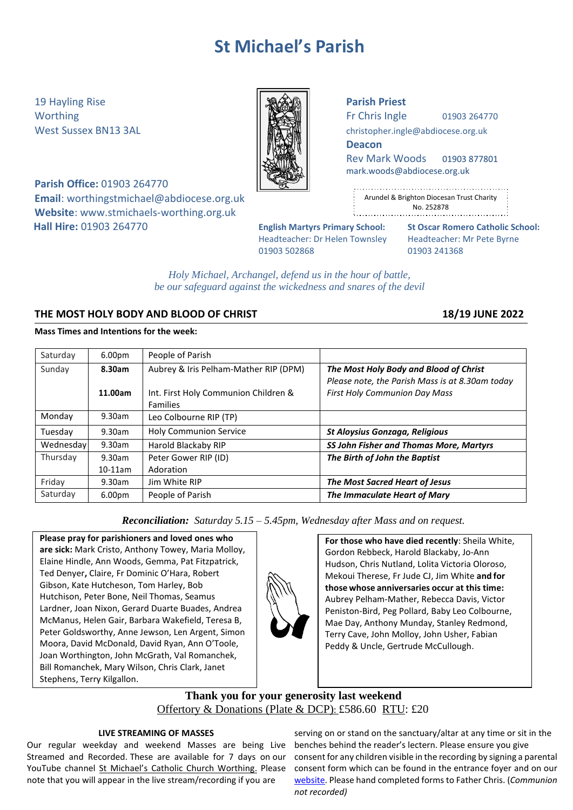# **St Michael's Parish**

19 Hayling Rise **Parish Priest**

**Parish Office:** 01903 264770 **Email**: [worthingstmichael@abdiocese.org.uk](mailto:worthingstmichael@abdiocese.org.uk) **Website**: [www.stmichaels-worthing.org.uk](http://www.stmichaels-worthing.org.uk/) **Hall Hire:** 01903 264770 **English Martyrs Primary School: St Oscar Romero Catholic School:**

Worthing  $\parallel$   $\parallel$   $\parallel$   $\parallel$   $\parallel$  Fr Chris Ingle 01903 264770

West Sussex BN13 3AL **[christopher.ingle@abdiocese.org.uk](mailto:christopher.ingle@abdiocese.org.uk)** | **christopher.ingle@abdiocese.org.uk** 

**Deacon**

Rev Mark Woods 01903 877801 [mark.woods@abdiocese.org.uk](mailto:mark.woods@abdiocese.org.uk)

| ٠      |                                           |
|--------|-------------------------------------------|
| ÷      | Arundel & Brighton Diocesan Trust Charity |
| ٠<br>٠ | No. 252878                                |
|        |                                           |

Headteacher: Dr Helen Townsley Headteacher: Mr Pete Byrne 01903 502868 01903 241368

*Holy Michael, Archangel, defend us in the hour of battle, be our safeguard against the wickedness and snares of the devil*

# **THE MOST HOLY BODY AND BLOOD OF CHRIST 18/19 JUNE 2022**

# **Mass Times and Intentions for the week:**

| Saturday  | 6.00 <sub>pm</sub> | People of Parish                                                              |                                                                                                                                   |
|-----------|--------------------|-------------------------------------------------------------------------------|-----------------------------------------------------------------------------------------------------------------------------------|
| Sunday    | 8.30am<br>11.00am  | Aubrey & Iris Pelham-Mather RIP (DPM)<br>Int. First Holy Communion Children & | The Most Holy Body and Blood of Christ<br>Please note, the Parish Mass is at 8.30am today<br><b>First Holy Communion Day Mass</b> |
| Monday    | 9.30am             | <b>Families</b><br>Leo Colbourne RIP (TP)                                     |                                                                                                                                   |
| Tuesday   | 9.30am             | <b>Holy Communion Service</b>                                                 | <b>St Aloysius Gonzaga, Religious</b>                                                                                             |
| Wednesday | 9.30am             | Harold Blackaby RIP                                                           | SS John Fisher and Thomas More, Martyrs                                                                                           |
| Thursday  | 9.30am             | Peter Gower RIP (ID)                                                          | The Birth of John the Baptist                                                                                                     |
|           | $10-11am$          | Adoration                                                                     |                                                                                                                                   |
| Friday    | 9.30am             | Jim White RIP                                                                 | <b>The Most Sacred Heart of Jesus</b>                                                                                             |
| Saturday  | 6.00 <sub>pm</sub> | People of Parish                                                              | The Immaculate Heart of Mary                                                                                                      |

*Reconciliation: Saturday 5.15 – 5.45pm, Wednesday after Mass and on request.*

**Please pray for parishioners and loved ones who are sick:** Mark Cristo, Anthony Towey, Maria Molloy, Elaine Hindle, Ann Woods, Gemma, Pat Fitzpatrick, Ted Denyer**,** Claire, Fr Dominic O'Hara, Robert Gibson, Kate Hutcheson, Tom Harley, Bob Hutchison, Peter Bone, Neil Thomas, Seamus Lardner, Joan Nixon, Gerard Duarte Buades, Andrea McManus, Helen Gair, Barbara Wakefield, Teresa B, Peter Goldsworthy, Anne Jewson, Len Argent, Simon Moora, David McDonald, David Ryan, Ann O'Toole, Joan Worthington, John McGrath, Val Romanchek, Bill Romanchek, Mary Wilson, Chris Clark, Janet Stephens, Terry Kilgallon.

**For those who have died recently**: Sheila White, Gordon Rebbeck, Harold Blackaby, Jo-Ann Hudson, Chris Nutland, Lolita Victoria Oloroso, Mekoui Therese, Fr Jude CJ, Jim White **and for those whose anniversaries occur at this time:** Aubrey Pelham-Mather, Rebecca Davis, Victor Peniston-Bird, Peg Pollard, Baby Leo Colbourne, Mae Day, Anthony Munday, Stanley Redmond, Terry Cave, John Molloy, John Usher, Fabian Peddy & Uncle, Gertrude McCullough.

# **Thank you for your generosity last weekend** Offertory & Donations (Plate & DCP): £586.60 RTU: £20

# **LIVE STREAMING OF MASSES**

Our regular weekday and weekend Masses are being Live Streamed and Recorded. These are available for 7 days on our YouTube channel [St Michael's Catholic Church Worthing](https://www.youtube.com/channel/UCJbxYiC8NIvWP1CZ6Ate-fA/videos). Please note that you will appear in the live stream/recording if you are

serving on or stand on the sanctuary/altar at any time or sit in the benches behind the reader's lectern. Please ensure you give consent for any children visible in the recording by signing a parental consent form which can be found in the entrance foyer and on our [website.](https://www.stmichaels-worthing.org.uk/Groups/161112/St_Michaels_Worthing/Parish_News/Parish_News.aspx) Please hand completed forms to Father Chris. (*Communion not recorded)*